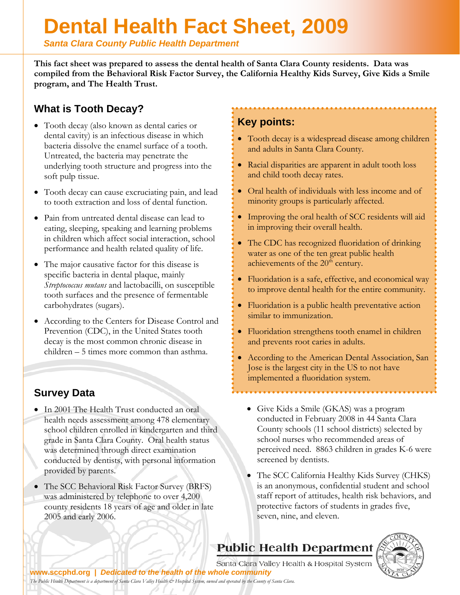# **Dental Health Fact Sheet, 2009**

*Santa Clara County Public Health Department* 

**This fact sheet was prepared to assess the dental health of Santa Clara County residents. Data was compiled from the Behavioral Risk Factor Survey, the California Healthy Kids Survey, Give Kids a Smile program, and The Health Trust.**

## **What is Tooth Decay?**

- Tooth decay (also known as dental caries or dental cavity) is an infectious disease in which bacteria dissolve the enamel surface of a tooth. Untreated, the bacteria may penetrate the underlying tooth structure and progress into the soft pulp tissue.
- Tooth decay can cause excruciating pain, and lead to tooth extraction and loss of dental function.
- Pain from untreated dental disease can lead to eating, sleeping, speaking and learning problems in children which affect social interaction, school performance and health related quality of life.
- The major causative factor for this disease is specific bacteria in dental plaque, mainly *Streptococcus mutans* and lactobacilli, on susceptible tooth surfaces and the presence of fermentable carbohydrates (sugars).
- According to the Centers for Disease Control and Prevention (CDC), in the United States tooth decay is the most common chronic disease in children – 5 times more common than asthma.

## **Survey Data**

- In 2001 The Health Trust conducted an oral health needs assessment among 478 elementary school children enrolled in kindergarten and third grade in Santa Clara County. Oral health status was determined through direct examination conducted by dentists, with personal information provided by parents.
- The SCC Behavioral Risk Factor Survey (BRFS) was administered by telephone to over 4,200 county residents 18 years of age and older in late 2005 and early 2006.

### **Key points:**

- Tooth decay is a widespread disease among children and adults in Santa Clara County.
- Racial disparities are apparent in adult tooth loss and child tooth decay rates.
- Oral health of individuals with less income and of minority groups is particularly affected.
- Improving the oral health of SCC residents will aid in improving their overall health.
- The CDC has recognized fluoridation of drinking water as one of the ten great public health achievements of the  $20<sup>th</sup>$  century.
- Fluoridation is a safe, effective, and economical way to improve dental health for the entire community.
- Fluoridation is a public health preventative action similar to immunization.
- Fluoridation strengthens tooth enamel in children and prevents root caries in adults.
- According to the American Dental Association, San Jose is the largest city in the US to not have implemented a fluoridation system.
	- Give Kids a Smile (GKAS) was a program conducted in February 2008 in 44 Santa Clara County schools (11 school districts) selected by school nurses who recommended areas of perceived need. 8863 children in grades K-6 were screened by dentists.
	- The SCC California Healthy Kids Survey (CHKS) is an anonymous, confidential student and school staff report of attitudes, health risk behaviors, and protective factors of students in grades five, seven, nine, and eleven.





Santa Clara Valley Health & Hospital System

**www.sccphd.org |** *[Dedicated to the health of the whole community](http://www.scvmed.org) The Public Health Department is a department of Santa Clara Valley Health & Hospital System, owned and operated by the County of Santa Clara.*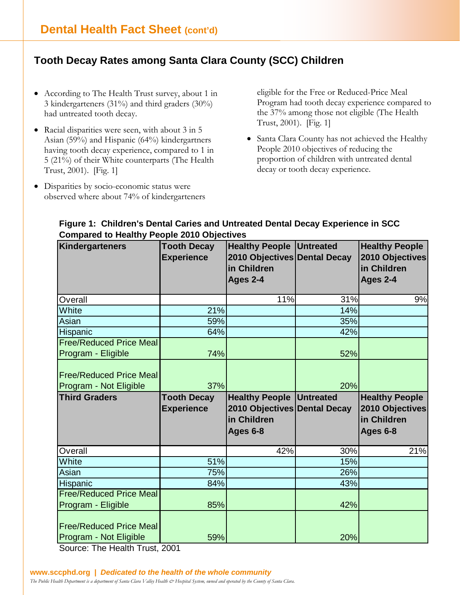## **Tooth Decay Rates among Santa Clara County (SCC) Children**

- According to The Health Trust survey, about 1 in 3 kindergarteners (31%) and third graders (30%) had untreated tooth decay.
- Racial disparities were seen, with about 3 in 5 Asian (59%) and Hispanic (64%) kindergartners having tooth decay experience, compared to 1 in 5 (21%) of their White counterparts (The Health Trust, 2001). [Fig. 1]
- Disparities by socio-economic status were observed where about 74% of kindergarteners

eligible for the Free or Reduced-Price Meal Program had tooth decay experience compared to the 37% among those not eligible (The Health Trust, 2001). [Fig. 1]

• Santa Clara County has not achieved the Healthy People 2010 objectives of reducing the proportion of children with untreated dental decay or tooth decay experience.

| <b>OUTIPATOR TO HOARTLY LOOPIG ZUTU ODJOURNOS</b><br>Kindergarteners | <b>Tooth Decay</b> | <b>Healthy People Untreated</b> |     | <b>Healthy People</b> |
|----------------------------------------------------------------------|--------------------|---------------------------------|-----|-----------------------|
|                                                                      | <b>Experience</b>  | 2010 Objectives Dental Decay    |     | 2010 Objectives       |
|                                                                      |                    | in Children                     |     | in Children           |
|                                                                      |                    | Ages 2-4                        |     | Ages 2-4              |
|                                                                      |                    |                                 |     |                       |
| Overall                                                              |                    | 11%                             | 31% | 9%                    |
| White                                                                | 21%                |                                 | 14% |                       |
| Asian                                                                | 59%                |                                 | 35% |                       |
| Hispanic                                                             | 64%                |                                 | 42% |                       |
| <b>Free/Reduced Price Meal</b>                                       |                    |                                 |     |                       |
| Program - Eligible                                                   | 74%                |                                 | 52% |                       |
|                                                                      |                    |                                 |     |                       |
| <b>Free/Reduced Price Meal</b>                                       |                    |                                 |     |                       |
| Program - Not Eligible                                               | 37%                |                                 | 20% |                       |
|                                                                      |                    |                                 |     |                       |
| <b>Third Graders</b>                                                 | <b>Tooth Decay</b> | <b>Healthy People Untreated</b> |     | <b>Healthy People</b> |
|                                                                      | <b>Experience</b>  | 2010 Objectives Dental Decay    |     | 2010 Objectives       |
|                                                                      |                    | in Children                     |     | in Children           |
|                                                                      |                    | Ages 6-8                        |     | Ages 6-8              |
|                                                                      |                    |                                 |     |                       |
| Overall                                                              |                    | 42%                             | 30% | 21%                   |
| White                                                                | 51%                |                                 | 15% |                       |
| Asian                                                                | 75%                |                                 | 26% |                       |
| Hispanic                                                             | 84%                |                                 | 43% |                       |
| <b>Free/Reduced Price Meal</b>                                       |                    |                                 |     |                       |
| Program - Eligible                                                   | 85%                |                                 | 42% |                       |
|                                                                      |                    |                                 |     |                       |
| <b>Free/Reduced Price Meal</b><br>Program - Not Eligible             | 59%                |                                 | 20% |                       |

#### **Figure 1: Children's Dental Caries and Untreated Dental Decay Experience in SCC Compared to Healthy People 2010 Objectives**

Source: The Health Trust, 2001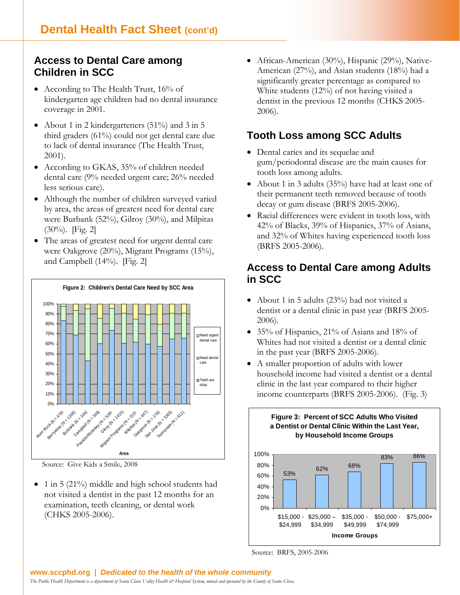### **Access to Dental Care among Children in SCC**

- According to The Health Trust, 16% of kindergarten age children had no dental insurance coverage in 2001.
- About 1 in 2 kindergarteners (51%) and 3 in 5 third graders (61%) could not get dental care due to lack of dental insurance (The Health Trust, 2001).
- According to GKAS, 35% of children needed dental care (9% needed urgent care; 26% needed less serious care).
- Although the number of children surveyed varied by area, the areas of greatest need for dental care were Burbank (52%), Gilroy (30%), and Milpitas  $(30\%)$ . [Fig. 2]
- The areas of greatest need for urgent dental care were Oakgrove (20%), Migrant Programs (15%), and Campbell (14%). [Fig. 2]



Source: Give Kids a Smile, 2008

• 1 in 5 (21%) middle and high school students had not visited a dentist in the past 12 months for an examination, teeth cleaning, or dental work (CHKS 2005-2006).

• African-American (30%), Hispanic (29%), Native-American (27%), and Asian students (18%) had a significantly greater percentage as compared to White students (12%) of not having visited a dentist in the previous 12 months (CHKS 2005- 2006).

#### **Tooth Loss among SCC Adults**

- Dental caries and its sequelae and gum/periodontal disease are the main causes for tooth loss among adults.
- About 1 in 3 adults (35%) have had at least one of their permanent teeth removed because of tooth decay or gum disease (BRFS 2005-2006).
- Racial differences were evident in tooth loss, with 42% of Blacks, 39% of Hispanics, 37% of Asians, and 32% of Whites having experienced tooth loss (BRFS 2005-2006).

#### **Access to Dental Care among Adults in SCC**

- About 1 in 5 adults (23%) had not visited a dentist or a dental clinic in past year (BRFS 2005- 2006).
- 35% of Hispanics, 21% of Asians and 18% of Whites had not visited a dentist or a dental clinic in the past year (BRFS 2005-2006).
- A smaller proportion of adults with lower household income had visited a dentist or a dental clinic in the last year compared to their higher income counterparts (BRFS 2005-2006). (Fig. 3)

**Figure 3: Percent of SCC Adults Who Visited**